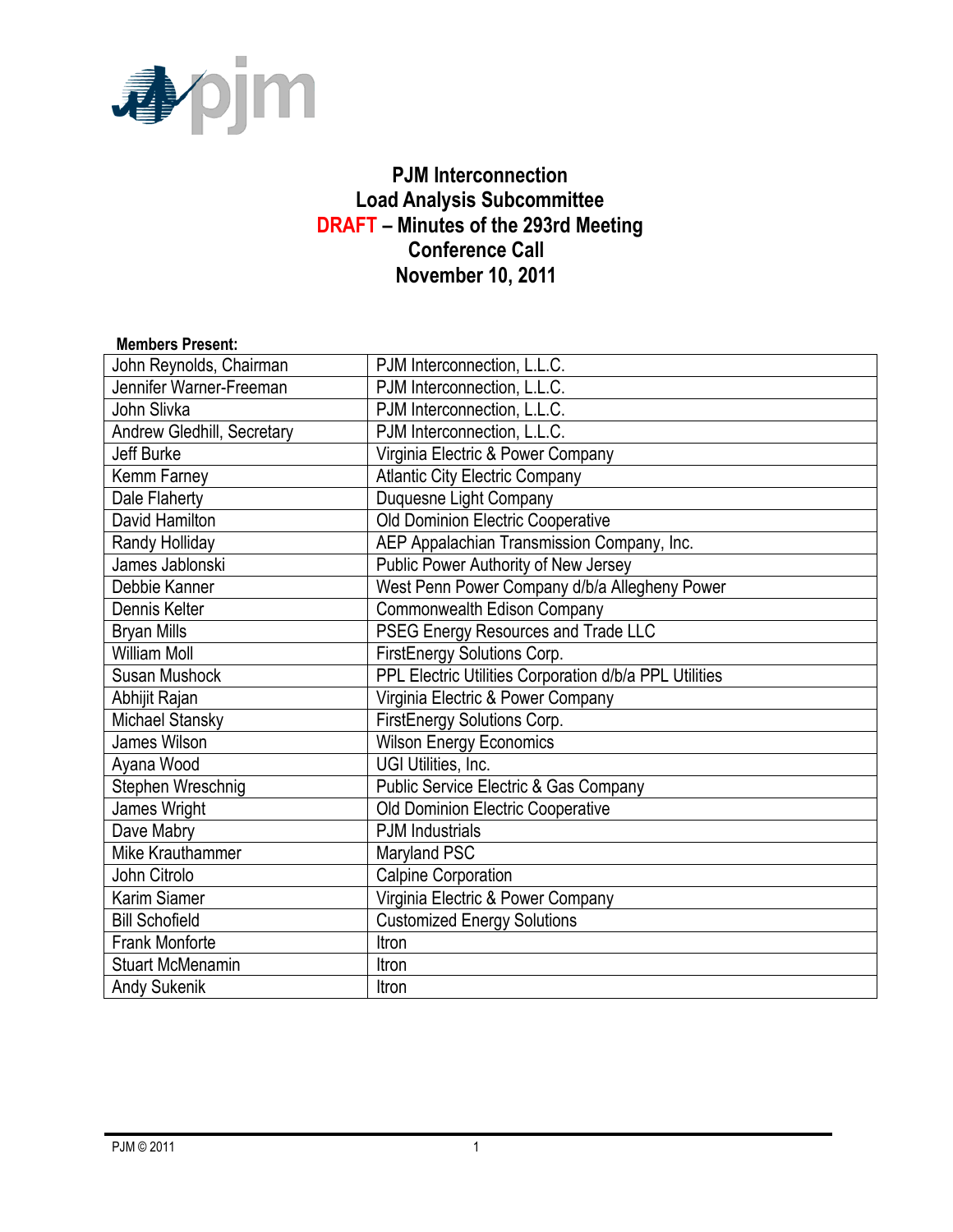

### **PJM Interconnection Load Analysis Subcommittee DRAFT – Minutes of the 293rd Meeting Conference Call November 10, 2011**

#### **Members Present:** John Reynolds, Chairman | PJM Interconnection, L.L.C. Jennifer Warner-Freeman **P** PJM Interconnection, L.L.C. John Slivka **PJM** Interconnection, L.L.C. Andrew Gledhill, Secretary **PJM Interconnection, L.L.C.** Jeff Burke Virginia Electric & Power Company Kemm Farney **Atlantic City Electric Company** Dale Flaherty **Duquesne Light Company** David Hamilton **David Hamilton Old Dominion Electric Cooperative** Randy Holliday **AEP Appalachian Transmission Company, Inc.** James Jablonski Public Power Authority of New Jersey Debbie Kanner West Penn Power Company d/b/a Allegheny Power Dennis Kelter **Commonwealth Edison Company** Bryan Mills **PSEG Energy Resources and Trade LLC** William Moll **William Moll** FirstEnergy Solutions Corp. Susan Mushock PPL Electric Utilities Corporation d/b/a PPL Utilities Abhijit Rajan Virginia Electric & Power Company Michael Stansky **FirstEnergy Solutions Corp.** James Wilson **Wilson Energy Economics** Ayana Wood **National Community Community** UGI Utilities, Inc. Stephen Wreschnig **Public Service Electric & Gas Company** James Wright **Disk Cooperative** Old Dominion Electric Cooperative Dave Mabry **PJM** Industrials Mike Krauthammer Mike Krauthammer Maryland PSC John Citrolo **Calpine Corporation** Karim Siamer **Virginia Electric & Power Company** Bill Schofield **Customized Energy Solutions** Frank Monforte **Internal Structure** Itron Stuart McMenamin **Ifter** Itron Andy Sukenik **Itron**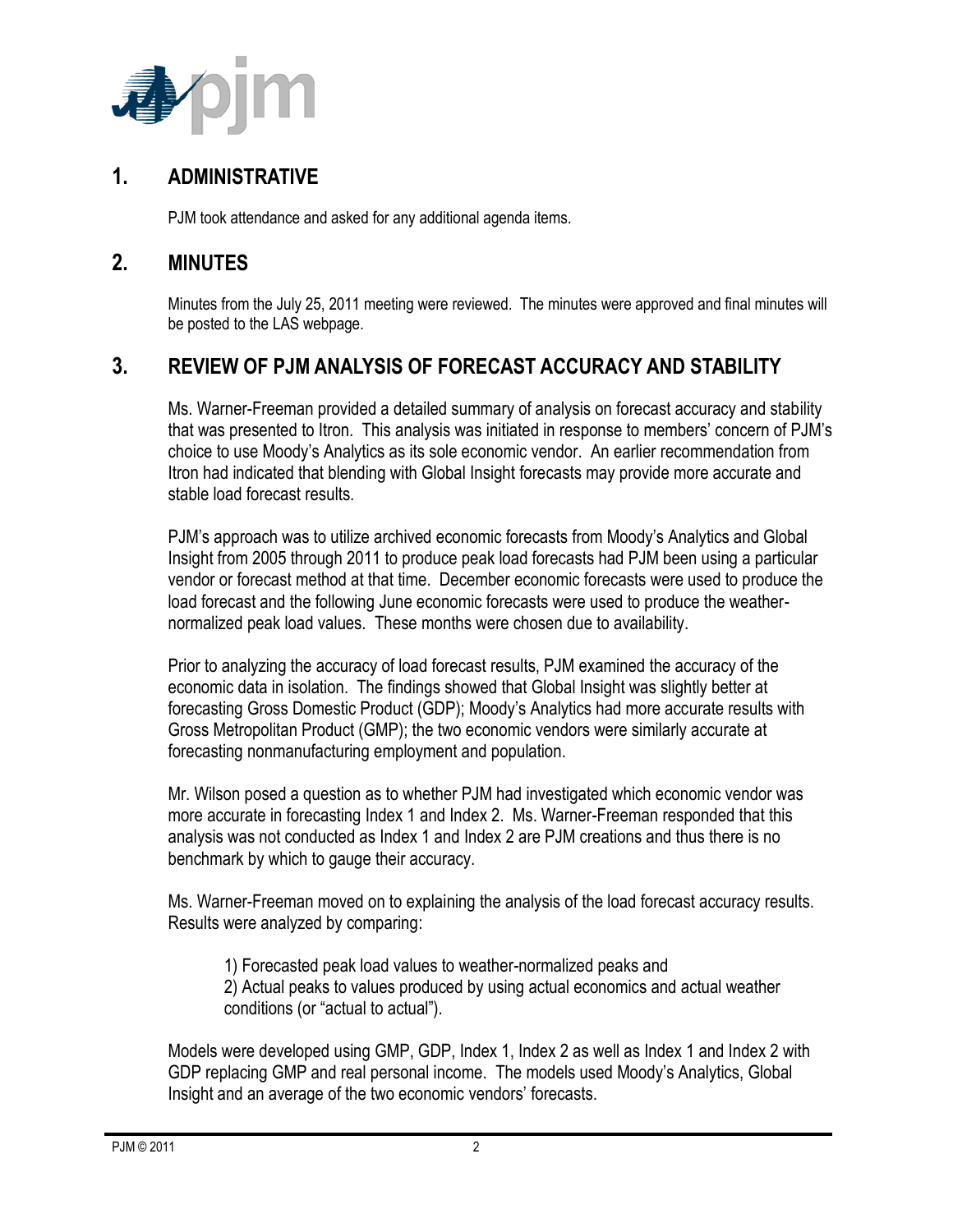

### **1. ADMINISTRATIVE**

PJM took attendance and asked for any additional agenda items.

#### **2. MINUTES**

Minutes from the July 25, 2011 meeting were reviewed. The minutes were approved and final minutes will be posted to the LAS webpage.

## **3. REVIEW OF PJM ANALYSIS OF FORECAST ACCURACY AND STABILITY**

Ms. Warner-Freeman provided a detailed summary of analysis on forecast accuracy and stability that was presented to Itron. This analysis was initiated in response to members' concern of PJM's choice to use Moody's Analytics as its sole economic vendor. An earlier recommendation from Itron had indicated that blending with Global Insight forecasts may provide more accurate and stable load forecast results.

PJM's approach was to utilize archived economic forecasts from Moody's Analytics and Global Insight from 2005 through 2011 to produce peak load forecasts had PJM been using a particular vendor or forecast method at that time. December economic forecasts were used to produce the load forecast and the following June economic forecasts were used to produce the weathernormalized peak load values. These months were chosen due to availability.

Prior to analyzing the accuracy of load forecast results, PJM examined the accuracy of the economic data in isolation. The findings showed that Global Insight was slightly better at forecasting Gross Domestic Product (GDP); Moody's Analytics had more accurate results with Gross Metropolitan Product (GMP); the two economic vendors were similarly accurate at forecasting nonmanufacturing employment and population.

Mr. Wilson posed a question as to whether PJM had investigated which economic vendor was more accurate in forecasting Index 1 and Index 2. Ms. Warner-Freeman responded that this analysis was not conducted as Index 1 and Index 2 are PJM creations and thus there is no benchmark by which to gauge their accuracy.

Ms. Warner-Freeman moved on to explaining the analysis of the load forecast accuracy results. Results were analyzed by comparing:

1) Forecasted peak load values to weather-normalized peaks and 2) Actual peaks to values produced by using actual economics and actual weather conditions (or "actual to actual").

Models were developed using GMP, GDP, Index 1, Index 2 as well as Index 1 and Index 2 with GDP replacing GMP and real personal income. The models used Moody's Analytics, Global Insight and an average of the two economic vendors' forecasts.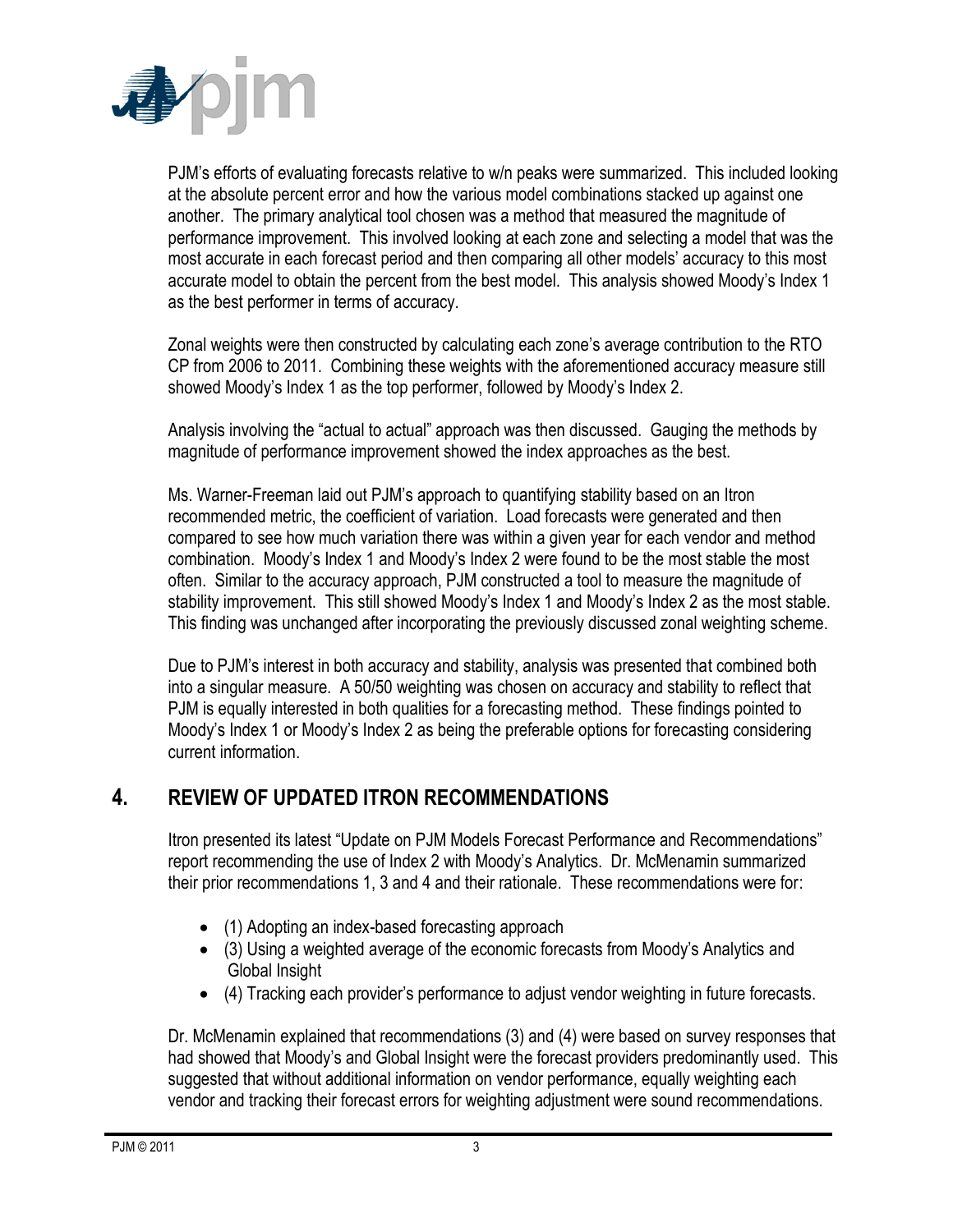

PJM's efforts of evaluating forecasts relative to w/n peaks were summarized. This included looking at the absolute percent error and how the various model combinations stacked up against one another. The primary analytical tool chosen was a method that measured the magnitude of performance improvement. This involved looking at each zone and selecting a model that was the most accurate in each forecast period and then comparing all other models' accuracy to this most accurate model to obtain the percent from the best model. This analysis showed Moody's Index 1 as the best performer in terms of accuracy.

Zonal weights were then constructed by calculating each zone's average contribution to the RTO CP from 2006 to 2011. Combining these weights with the aforementioned accuracy measure still showed Moody's Index 1 as the top performer, followed by Moody's Index 2.

Analysis involving the "actual to actual" approach was then discussed. Gauging the methods by magnitude of performance improvement showed the index approaches as the best.

Ms. Warner-Freeman laid out PJM's approach to quantifying stability based on an Itron recommended metric, the coefficient of variation. Load forecasts were generated and then compared to see how much variation there was within a given year for each vendor and method combination. Moody's Index 1 and Moody's Index 2 were found to be the most stable the most often. Similar to the accuracy approach, PJM constructed a tool to measure the magnitude of stability improvement. This still showed Moody's Index 1 and Moody's Index 2 as the most stable. This finding was unchanged after incorporating the previously discussed zonal weighting scheme.

Due to PJM's interest in both accuracy and stability, analysis was presented that combined both into a singular measure. A 50/50 weighting was chosen on accuracy and stability to reflect that PJM is equally interested in both qualities for a forecasting method. These findings pointed to Moody's Index 1 or Moody's Index 2 as being the preferable options for forecasting considering current information.

## **4. REVIEW OF UPDATED ITRON RECOMMENDATIONS**

Itron presented its latest "Update on PJM Models Forecast Performance and Recommendations" report recommending the use of Index 2 with Moody's Analytics. Dr. McMenamin summarized their prior recommendations 1, 3 and 4 and their rationale. These recommendations were for:

- (1) Adopting an index-based forecasting approach
- (3) Using a weighted average of the economic forecasts from Moody's Analytics and Global Insight
- (4) Tracking each provider's performance to adjust vendor weighting in future forecasts.

Dr. McMenamin explained that recommendations (3) and (4) were based on survey responses that had showed that Moody's and Global Insight were the forecast providers predominantly used. This suggested that without additional information on vendor performance, equally weighting each vendor and tracking their forecast errors for weighting adjustment were sound recommendations.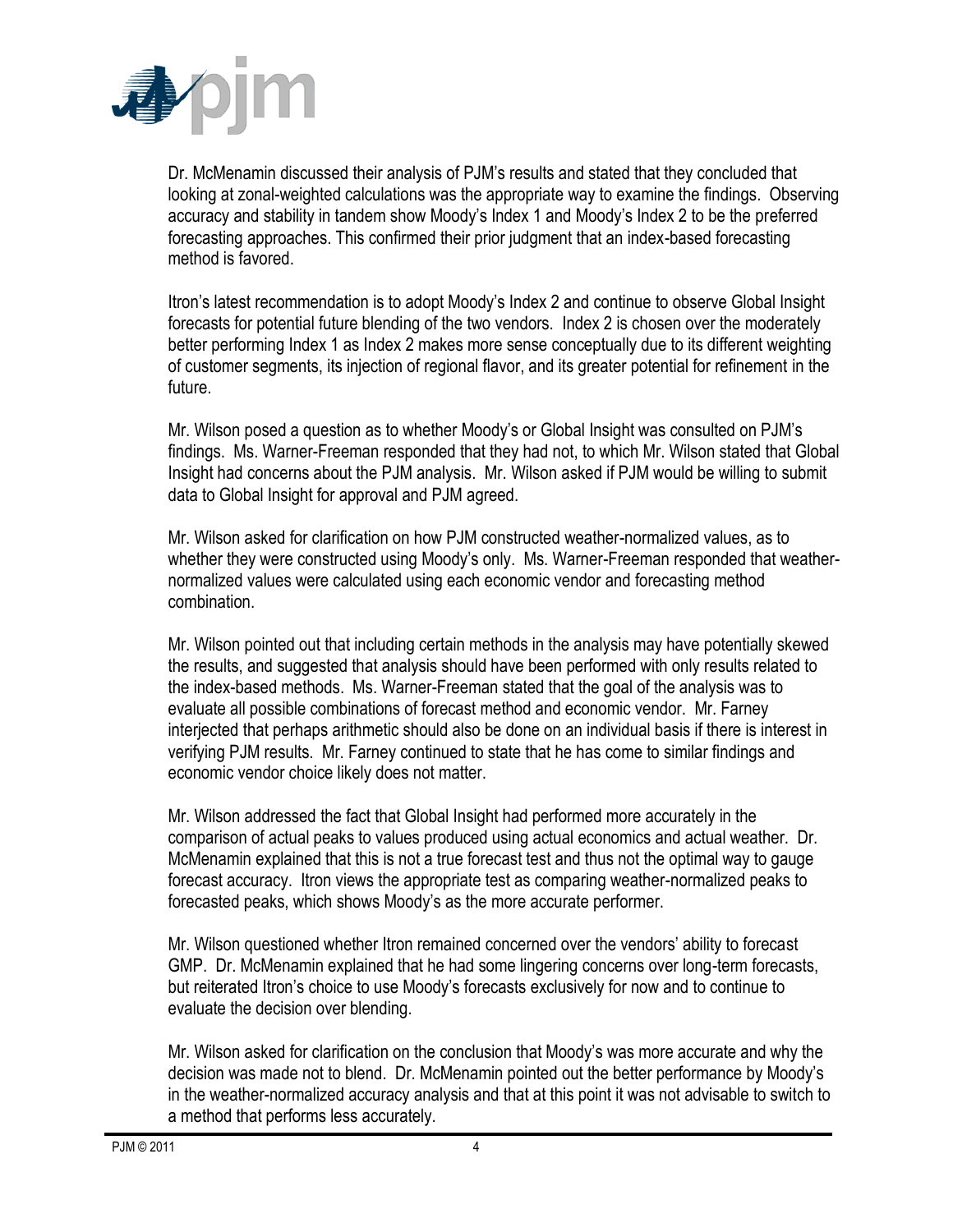

Dr. McMenamin discussed their analysis of PJM's results and stated that they concluded that looking at zonal-weighted calculations was the appropriate way to examine the findings. Observing accuracy and stability in tandem show Moody's Index 1 and Moody's Index 2 to be the preferred forecasting approaches. This confirmed their prior judgment that an index-based forecasting method is favored.

Itron's latest recommendation is to adopt Moody's Index 2 and continue to observe Global Insight forecasts for potential future blending of the two vendors. Index 2 is chosen over the moderately better performing Index 1 as Index 2 makes more sense conceptually due to its different weighting of customer segments, its injection of regional flavor, and its greater potential for refinement in the future.

Mr. Wilson posed a question as to whether Moody's or Global Insight was consulted on PJM's findings. Ms. Warner-Freeman responded that they had not, to which Mr. Wilson stated that Global Insight had concerns about the PJM analysis. Mr. Wilson asked if PJM would be willing to submit data to Global Insight for approval and PJM agreed.

Mr. Wilson asked for clarification on how PJM constructed weather-normalized values, as to whether they were constructed using Moody's only. Ms. Warner-Freeman responded that weathernormalized values were calculated using each economic vendor and forecasting method combination.

Mr. Wilson pointed out that including certain methods in the analysis may have potentially skewed the results, and suggested that analysis should have been performed with only results related to the index-based methods. Ms. Warner-Freeman stated that the goal of the analysis was to evaluate all possible combinations of forecast method and economic vendor. Mr. Farney interjected that perhaps arithmetic should also be done on an individual basis if there is interest in verifying PJM results. Mr. Farney continued to state that he has come to similar findings and economic vendor choice likely does not matter.

Mr. Wilson addressed the fact that Global Insight had performed more accurately in the comparison of actual peaks to values produced using actual economics and actual weather. Dr. McMenamin explained that this is not a true forecast test and thus not the optimal way to gauge forecast accuracy. Itron views the appropriate test as comparing weather-normalized peaks to forecasted peaks, which shows Moody's as the more accurate performer.

Mr. Wilson questioned whether Itron remained concerned over the vendors' ability to forecast GMP. Dr. McMenamin explained that he had some lingering concerns over long-term forecasts, but reiterated Itron's choice to use Moody's forecasts exclusively for now and to continue to evaluate the decision over blending.

Mr. Wilson asked for clarification on the conclusion that Moody's was more accurate and why the decision was made not to blend. Dr. McMenamin pointed out the better performance by Moody's in the weather-normalized accuracy analysis and that at this point it was not advisable to switch to a method that performs less accurately.